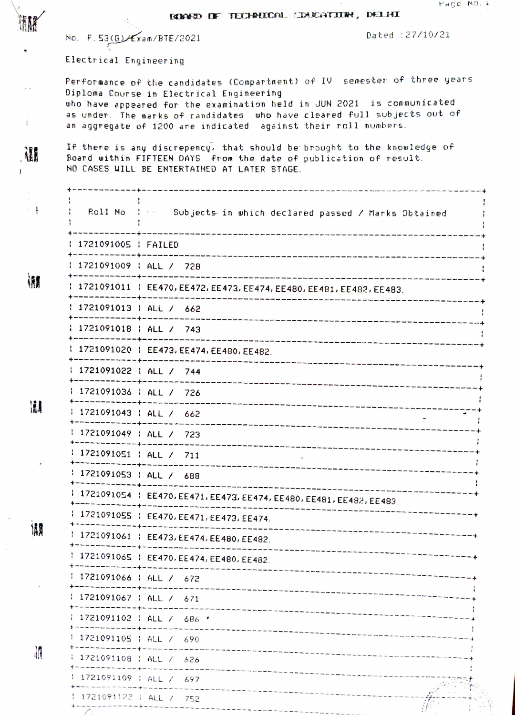## ECRAND DE TECHNOLOGIE (DUICATION), DELHI

No. F.53(G)/Exam/BTE/2021

Dated : 27/10/21

Electrical Engineering

H

 $\frac{1}{2}$ 

**All** 

**一度** 

補

H

懶

祀

Performance of the candidates (Compartment) of IV semester of three years Diploma Course in Electrical Engineering who have appeared for the examination held in JUN 2021 is communicated as under. The marks of candidates who have cleared full subjects out of an aggregate of 1200 are indicated against their roll numbers.

If there is any discrepency, that should be brought to the knowledge of Board within FIFTEEN DAYS from the date of publication of result. NO CASES WILL BE ENTERTAINED AT LATER STAGE.

Roll No (100) Subjects in which declared passed / Marks Obtained 1721091005 : FAILED -------+-------------------1721091009 | ALL / 728 -+--------1721091011 | EE470, EE472, EE473, EE474, EE480, EE481, EE482, EE483. 1721091013 | ALL / 662 -------+-------1721091018 | ALL / 743 -----+----------------1721091020 | EE473, EE474, EE480, EE482. 1721091022 | ALL / 744 ----------+------------| 1721091036 | ALL / 726 -----------+-------1721091043 | ALL / 662 ---------+------------1721091049 ; ALL / 723 ----------+--------------1721091051 | ALL / 711 ---------+--------------------1721091053 | ALL / 688 ---+------------1721091054 : EE470, EE471, EE473, EE474, EE480, EE481, EE482, EE483. 1721091055 | EE470, EE471, EE473, EE474. 1721091061 | EE473, EE474, EE480, EE482. -------------1721091065 | EE470, EE474, EE480, EE482. 1721091066 | ALL / 672 --------+------------1721091067 | ALL / 671 -------1721091102 | ALL / 686 ' 1721091105 | ALL / 690 ------------| 1721091108 | ALL / 626 \_\_\_\_\_\_\_\_\_\_\_\_\_\_\_ : 1721091109 : ALL / 697 the company of the company of the company of the company of the company of the company of the company of the company of the company of the company of the company of the company of the company of the company of the company ---------------------1 1721091122 | ALL / 752  $+ - -$ ----------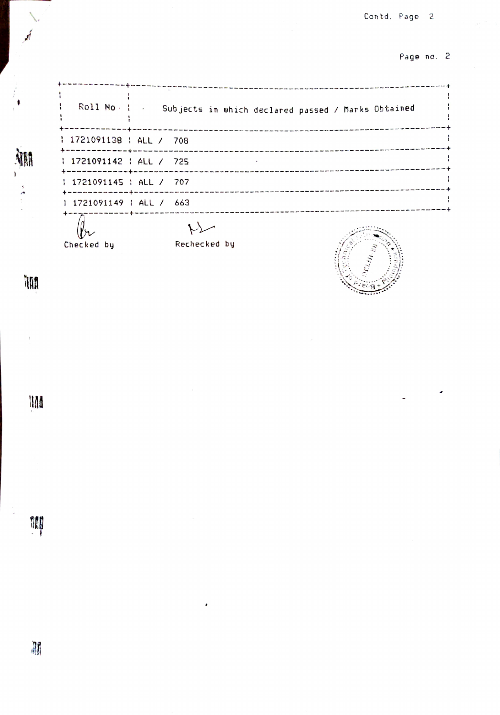## Page no. 2

|                                      | Roll No. : . Subjects in which declared passed / Marks Obtained |
|--------------------------------------|-----------------------------------------------------------------|
| 1 1721091138   ALL / 708             |                                                                 |
| 1721091142   ALL / 725               |                                                                 |
| $1221091145$ $1$ ALL / 707           |                                                                 |
| $1721091149$   ALL / 663             |                                                                 |
| +--- <sub>2</sub> ---------+---+---- |                                                                 |

 $\begin{matrix} \mathbb{Q} \\ \mathbb{C} \end{matrix}$  Checked by Rechecked by  $\downarrow$ 



NAA

H